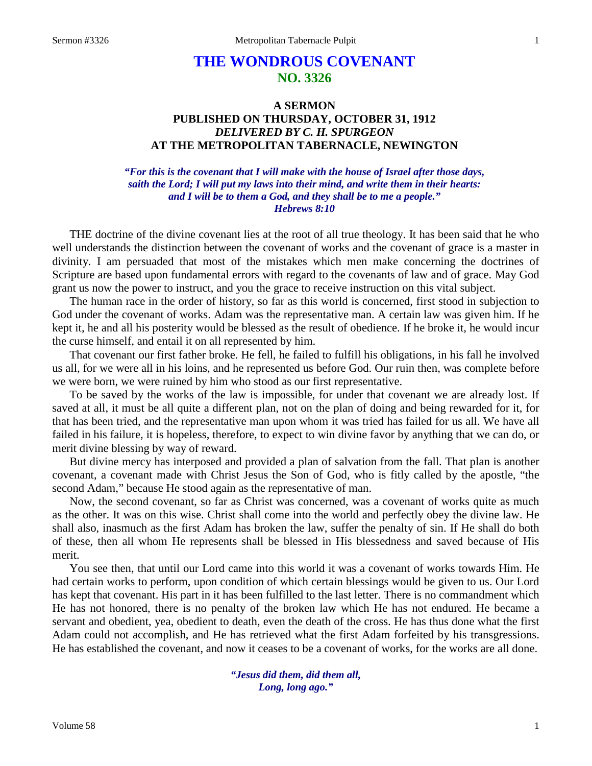# **THE WONDROUS COVENANT NO. 3326**

# **A SERMON PUBLISHED ON THURSDAY, OCTOBER 31, 1912** *DELIVERED BY C. H. SPURGEON* **AT THE METROPOLITAN TABERNACLE, NEWINGTON**

### *"For this is the covenant that I will make with the house of Israel after those days, saith the Lord; I will put my laws into their mind, and write them in their hearts: and I will be to them a God, and they shall be to me a people." Hebrews 8:10*

THE doctrine of the divine covenant lies at the root of all true theology. It has been said that he who well understands the distinction between the covenant of works and the covenant of grace is a master in divinity. I am persuaded that most of the mistakes which men make concerning the doctrines of Scripture are based upon fundamental errors with regard to the covenants of law and of grace. May God grant us now the power to instruct, and you the grace to receive instruction on this vital subject.

The human race in the order of history, so far as this world is concerned, first stood in subjection to God under the covenant of works. Adam was the representative man. A certain law was given him. If he kept it, he and all his posterity would be blessed as the result of obedience. If he broke it, he would incur the curse himself, and entail it on all represented by him.

That covenant our first father broke. He fell, he failed to fulfill his obligations, in his fall he involved us all, for we were all in his loins, and he represented us before God. Our ruin then, was complete before we were born, we were ruined by him who stood as our first representative.

To be saved by the works of the law is impossible, for under that covenant we are already lost. If saved at all, it must be all quite a different plan, not on the plan of doing and being rewarded for it, for that has been tried, and the representative man upon whom it was tried has failed for us all. We have all failed in his failure, it is hopeless, therefore, to expect to win divine favor by anything that we can do, or merit divine blessing by way of reward.

But divine mercy has interposed and provided a plan of salvation from the fall. That plan is another covenant, a covenant made with Christ Jesus the Son of God, who is fitly called by the apostle, "the second Adam," because He stood again as the representative of man.

Now, the second covenant, so far as Christ was concerned, was a covenant of works quite as much as the other. It was on this wise. Christ shall come into the world and perfectly obey the divine law. He shall also, inasmuch as the first Adam has broken the law, suffer the penalty of sin. If He shall do both of these, then all whom He represents shall be blessed in His blessedness and saved because of His merit.

You see then, that until our Lord came into this world it was a covenant of works towards Him. He had certain works to perform, upon condition of which certain blessings would be given to us. Our Lord has kept that covenant. His part in it has been fulfilled to the last letter. There is no commandment which He has not honored, there is no penalty of the broken law which He has not endured. He became a servant and obedient, yea, obedient to death, even the death of the cross. He has thus done what the first Adam could not accomplish, and He has retrieved what the first Adam forfeited by his transgressions. He has established the covenant, and now it ceases to be a covenant of works, for the works are all done.

> *"Jesus did them, did them all, Long, long ago."*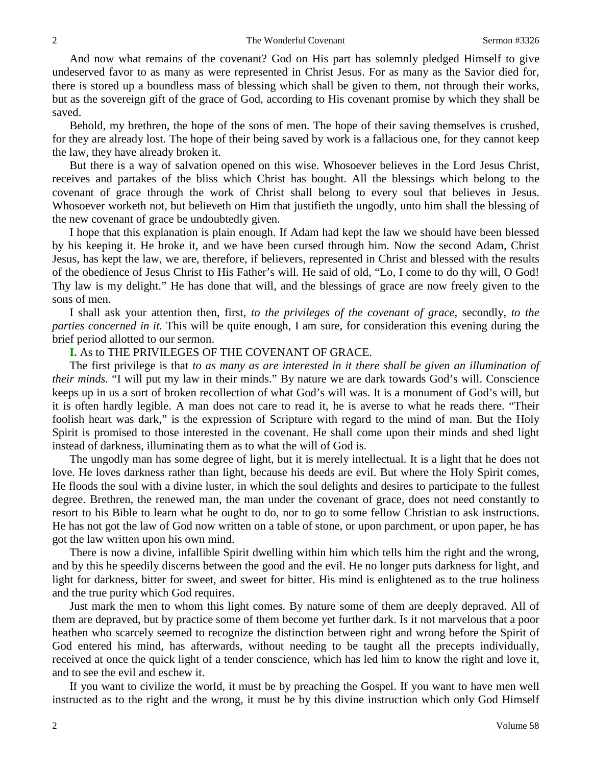And now what remains of the covenant? God on His part has solemnly pledged Himself to give undeserved favor to as many as were represented in Christ Jesus. For as many as the Savior died for, there is stored up a boundless mass of blessing which shall be given to them, not through their works, but as the sovereign gift of the grace of God, according to His covenant promise by which they shall be saved.

Behold, my brethren, the hope of the sons of men. The hope of their saving themselves is crushed, for they are already lost. The hope of their being saved by work is a fallacious one, for they cannot keep the law, they have already broken it.

But there is a way of salvation opened on this wise. Whosoever believes in the Lord Jesus Christ, receives and partakes of the bliss which Christ has bought. All the blessings which belong to the covenant of grace through the work of Christ shall belong to every soul that believes in Jesus. Whosoever worketh not, but believeth on Him that justifieth the ungodly, unto him shall the blessing of the new covenant of grace be undoubtedly given.

I hope that this explanation is plain enough. If Adam had kept the law we should have been blessed by his keeping it. He broke it, and we have been cursed through him. Now the second Adam, Christ Jesus, has kept the law, we are, therefore, if believers, represented in Christ and blessed with the results of the obedience of Jesus Christ to His Father's will. He said of old, "Lo, I come to do thy will, O God! Thy law is my delight." He has done that will, and the blessings of grace are now freely given to the sons of men.

I shall ask your attention then, first, *to the privileges of the covenant of grace,* secondly, *to the parties concerned in it.* This will be quite enough, I am sure, for consideration this evening during the brief period allotted to our sermon.

### **I.** As to THE PRIVILEGES OF THE COVENANT OF GRACE.

The first privilege is that *to as many as are interested in it there shall be given an illumination of their minds.* "I will put my law in their minds." By nature we are dark towards God's will. Conscience keeps up in us a sort of broken recollection of what God's will was. It is a monument of God's will, but it is often hardly legible. A man does not care to read it, he is averse to what he reads there. "Their foolish heart was dark," is the expression of Scripture with regard to the mind of man. But the Holy Spirit is promised to those interested in the covenant. He shall come upon their minds and shed light instead of darkness, illuminating them as to what the will of God is.

The ungodly man has some degree of light, but it is merely intellectual. It is a light that he does not love. He loves darkness rather than light, because his deeds are evil. But where the Holy Spirit comes, He floods the soul with a divine luster, in which the soul delights and desires to participate to the fullest degree. Brethren, the renewed man, the man under the covenant of grace, does not need constantly to resort to his Bible to learn what he ought to do, nor to go to some fellow Christian to ask instructions. He has not got the law of God now written on a table of stone, or upon parchment, or upon paper, he has got the law written upon his own mind.

There is now a divine, infallible Spirit dwelling within him which tells him the right and the wrong, and by this he speedily discerns between the good and the evil. He no longer puts darkness for light, and light for darkness, bitter for sweet, and sweet for bitter. His mind is enlightened as to the true holiness and the true purity which God requires.

Just mark the men to whom this light comes. By nature some of them are deeply depraved. All of them are depraved, but by practice some of them become yet further dark. Is it not marvelous that a poor heathen who scarcely seemed to recognize the distinction between right and wrong before the Spirit of God entered his mind, has afterwards, without needing to be taught all the precepts individually, received at once the quick light of a tender conscience, which has led him to know the right and love it, and to see the evil and eschew it.

If you want to civilize the world, it must be by preaching the Gospel. If you want to have men well instructed as to the right and the wrong, it must be by this divine instruction which only God Himself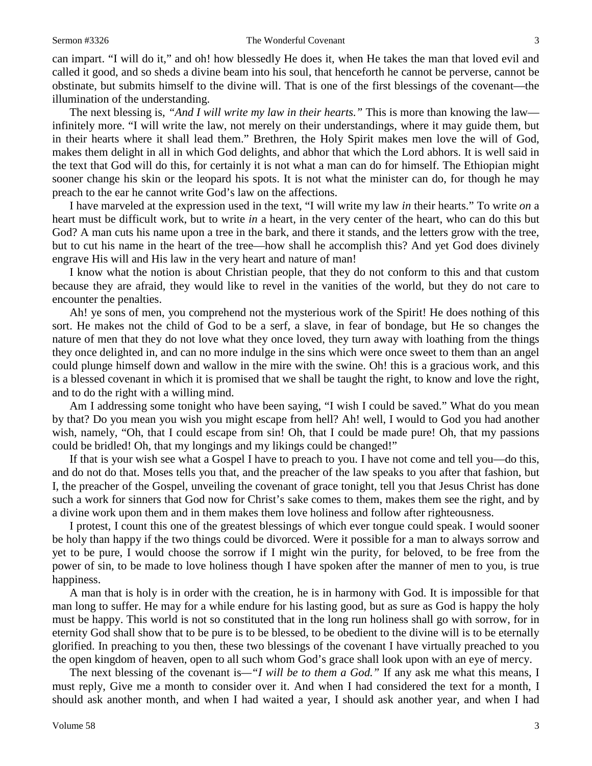### Sermon #3326 The Wonderful Covenant 3

can impart. "I will do it," and oh! how blessedly He does it, when He takes the man that loved evil and called it good, and so sheds a divine beam into his soul, that henceforth he cannot be perverse, cannot be obstinate, but submits himself to the divine will. That is one of the first blessings of the covenant—the illumination of the understanding.

The next blessing is, *"And I will write my law in their hearts."* This is more than knowing the law infinitely more. "I will write the law, not merely on their understandings, where it may guide them, but in their hearts where it shall lead them." Brethren, the Holy Spirit makes men love the will of God, makes them delight in all in which God delights, and abhor that which the Lord abhors. It is well said in the text that God will do this, for certainly it is not what a man can do for himself. The Ethiopian might sooner change his skin or the leopard his spots. It is not what the minister can do, for though he may preach to the ear he cannot write God's law on the affections.

I have marveled at the expression used in the text, "I will write my law *in* their hearts." To write *on* a heart must be difficult work, but to write *in* a heart, in the very center of the heart, who can do this but God? A man cuts his name upon a tree in the bark, and there it stands, and the letters grow with the tree, but to cut his name in the heart of the tree—how shall he accomplish this? And yet God does divinely engrave His will and His law in the very heart and nature of man!

I know what the notion is about Christian people, that they do not conform to this and that custom because they are afraid, they would like to revel in the vanities of the world, but they do not care to encounter the penalties.

Ah! ye sons of men, you comprehend not the mysterious work of the Spirit! He does nothing of this sort. He makes not the child of God to be a serf, a slave, in fear of bondage, but He so changes the nature of men that they do not love what they once loved, they turn away with loathing from the things they once delighted in, and can no more indulge in the sins which were once sweet to them than an angel could plunge himself down and wallow in the mire with the swine. Oh! this is a gracious work, and this is a blessed covenant in which it is promised that we shall be taught the right, to know and love the right, and to do the right with a willing mind.

Am I addressing some tonight who have been saying, "I wish I could be saved." What do you mean by that? Do you mean you wish you might escape from hell? Ah! well, I would to God you had another wish, namely, "Oh, that I could escape from sin! Oh, that I could be made pure! Oh, that my passions could be bridled! Oh, that my longings and my likings could be changed!"

If that is your wish see what a Gospel I have to preach to you. I have not come and tell you—do this, and do not do that. Moses tells you that, and the preacher of the law speaks to you after that fashion, but I, the preacher of the Gospel, unveiling the covenant of grace tonight, tell you that Jesus Christ has done such a work for sinners that God now for Christ's sake comes to them, makes them see the right, and by a divine work upon them and in them makes them love holiness and follow after righteousness.

I protest, I count this one of the greatest blessings of which ever tongue could speak. I would sooner be holy than happy if the two things could be divorced. Were it possible for a man to always sorrow and yet to be pure, I would choose the sorrow if I might win the purity, for beloved, to be free from the power of sin, to be made to love holiness though I have spoken after the manner of men to you, is true happiness.

A man that is holy is in order with the creation, he is in harmony with God. It is impossible for that man long to suffer. He may for a while endure for his lasting good, but as sure as God is happy the holy must be happy. This world is not so constituted that in the long run holiness shall go with sorrow, for in eternity God shall show that to be pure is to be blessed, to be obedient to the divine will is to be eternally glorified. In preaching to you then, these two blessings of the covenant I have virtually preached to you the open kingdom of heaven, open to all such whom God's grace shall look upon with an eye of mercy.

The next blessing of the covenant is*—"I will be to them a God."* If any ask me what this means, I must reply, Give me a month to consider over it. And when I had considered the text for a month, I should ask another month, and when I had waited a year, I should ask another year, and when I had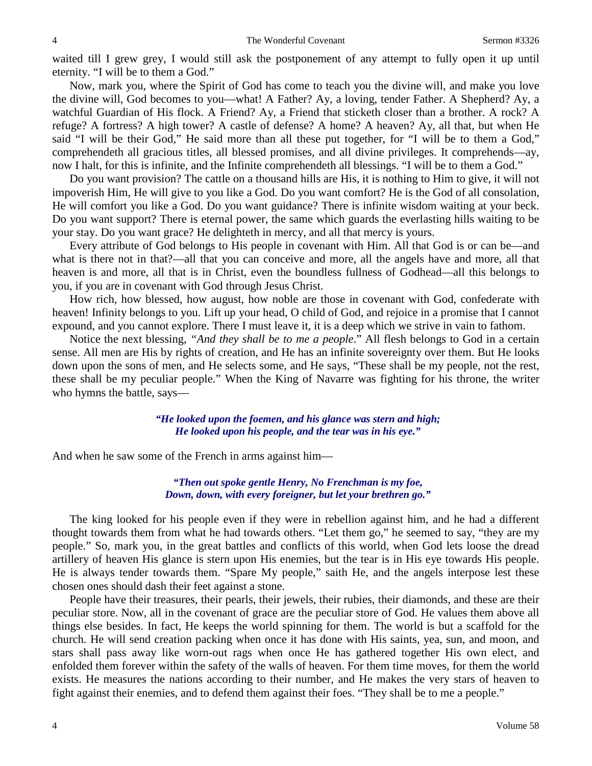waited till I grew grey, I would still ask the postponement of any attempt to fully open it up until eternity. "I will be to them a God."

Now, mark you, where the Spirit of God has come to teach you the divine will, and make you love the divine will, God becomes to you—what! A Father? Ay, a loving, tender Father. A Shepherd? Ay, a watchful Guardian of His flock. A Friend? Ay, a Friend that sticketh closer than a brother. A rock? A refuge? A fortress? A high tower? A castle of defense? A home? A heaven? Ay, all that, but when He said "I will be their God," He said more than all these put together, for "I will be to them a God," comprehendeth all gracious titles, all blessed promises, and all divine privileges. It comprehends—ay, now I halt, for this is infinite, and the Infinite comprehendeth all blessings. "I will be to them a God."

Do you want provision? The cattle on a thousand hills are His, it is nothing to Him to give, it will not impoverish Him, He will give to you like a God. Do you want comfort? He is the God of all consolation, He will comfort you like a God. Do you want guidance? There is infinite wisdom waiting at your beck. Do you want support? There is eternal power, the same which guards the everlasting hills waiting to be your stay. Do you want grace? He delighteth in mercy, and all that mercy is yours.

Every attribute of God belongs to His people in covenant with Him. All that God is or can be—and what is there not in that?—all that you can conceive and more, all the angels have and more, all that heaven is and more, all that is in Christ, even the boundless fullness of Godhead—all this belongs to you, if you are in covenant with God through Jesus Christ.

How rich, how blessed, how august, how noble are those in covenant with God, confederate with heaven! Infinity belongs to you. Lift up your head, O child of God, and rejoice in a promise that I cannot expound, and you cannot explore. There I must leave it, it is a deep which we strive in vain to fathom.

Notice the next blessing, *"And they shall be to me a people*." All flesh belongs to God in a certain sense. All men are His by rights of creation, and He has an infinite sovereignty over them. But He looks down upon the sons of men, and He selects some, and He says, "These shall be my people, not the rest, these shall be my peculiar people." When the King of Navarre was fighting for his throne, the writer who hymns the battle, says—

> *"He looked upon the foemen, and his glance was stern and high; He looked upon his people, and the tear was in his eye."*

And when he saw some of the French in arms against him—

*"Then out spoke gentle Henry, No Frenchman is my foe, Down, down, with every foreigner, but let your brethren go."*

The king looked for his people even if they were in rebellion against him, and he had a different thought towards them from what he had towards others. "Let them go," he seemed to say, "they are my people." So, mark you, in the great battles and conflicts of this world, when God lets loose the dread artillery of heaven His glance is stern upon His enemies, but the tear is in His eye towards His people. He is always tender towards them. "Spare My people," saith He, and the angels interpose lest these chosen ones should dash their feet against a stone.

People have their treasures, their pearls, their jewels, their rubies, their diamonds, and these are their peculiar store. Now, all in the covenant of grace are the peculiar store of God. He values them above all things else besides. In fact, He keeps the world spinning for them. The world is but a scaffold for the church. He will send creation packing when once it has done with His saints, yea, sun, and moon, and stars shall pass away like worn-out rags when once He has gathered together His own elect, and enfolded them forever within the safety of the walls of heaven. For them time moves, for them the world exists. He measures the nations according to their number, and He makes the very stars of heaven to fight against their enemies, and to defend them against their foes. "They shall be to me a people."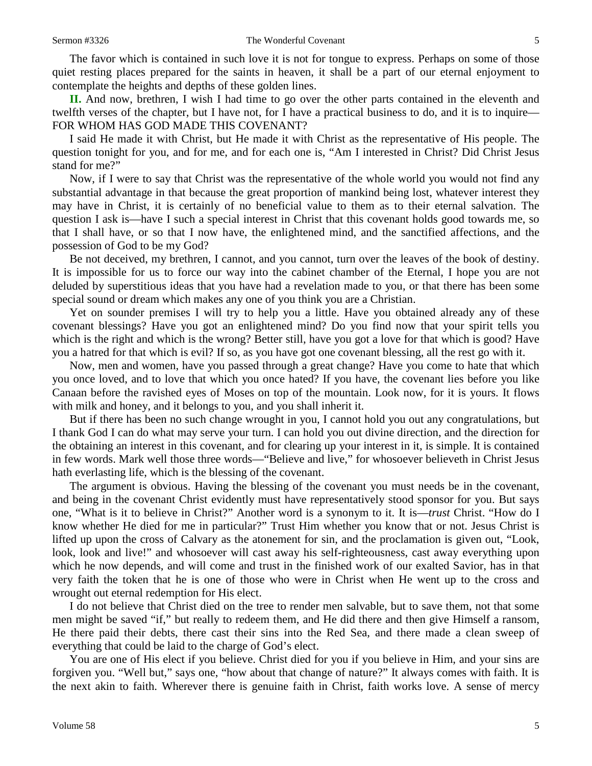The favor which is contained in such love it is not for tongue to express. Perhaps on some of those quiet resting places prepared for the saints in heaven, it shall be a part of our eternal enjoyment to contemplate the heights and depths of these golden lines.

**II.** And now, brethren, I wish I had time to go over the other parts contained in the eleventh and twelfth verses of the chapter, but I have not, for I have a practical business to do, and it is to inquire— FOR WHOM HAS GOD MADE THIS COVENANT?

I said He made it with Christ, but He made it with Christ as the representative of His people. The question tonight for you, and for me, and for each one is, "Am I interested in Christ? Did Christ Jesus stand for me?"

Now, if I were to say that Christ was the representative of the whole world you would not find any substantial advantage in that because the great proportion of mankind being lost, whatever interest they may have in Christ, it is certainly of no beneficial value to them as to their eternal salvation. The question I ask is—have I such a special interest in Christ that this covenant holds good towards me, so that I shall have, or so that I now have, the enlightened mind, and the sanctified affections, and the possession of God to be my God?

Be not deceived, my brethren, I cannot, and you cannot, turn over the leaves of the book of destiny. It is impossible for us to force our way into the cabinet chamber of the Eternal, I hope you are not deluded by superstitious ideas that you have had a revelation made to you, or that there has been some special sound or dream which makes any one of you think you are a Christian.

Yet on sounder premises I will try to help you a little. Have you obtained already any of these covenant blessings? Have you got an enlightened mind? Do you find now that your spirit tells you which is the right and which is the wrong? Better still, have you got a love for that which is good? Have you a hatred for that which is evil? If so, as you have got one covenant blessing, all the rest go with it.

Now, men and women, have you passed through a great change? Have you come to hate that which you once loved, and to love that which you once hated? If you have, the covenant lies before you like Canaan before the ravished eyes of Moses on top of the mountain. Look now, for it is yours. It flows with milk and honey, and it belongs to you, and you shall inherit it.

But if there has been no such change wrought in you, I cannot hold you out any congratulations, but I thank God I can do what may serve your turn. I can hold you out divine direction, and the direction for the obtaining an interest in this covenant, and for clearing up your interest in it, is simple. It is contained in few words. Mark well those three words—"Believe and live," for whosoever believeth in Christ Jesus hath everlasting life, which is the blessing of the covenant.

The argument is obvious. Having the blessing of the covenant you must needs be in the covenant, and being in the covenant Christ evidently must have representatively stood sponsor for you. But says one, "What is it to believe in Christ?" Another word is a synonym to it. It is—*trust* Christ. "How do I know whether He died for me in particular?" Trust Him whether you know that or not. Jesus Christ is lifted up upon the cross of Calvary as the atonement for sin, and the proclamation is given out, "Look, look, look and live!" and whosoever will cast away his self-righteousness, cast away everything upon which he now depends, and will come and trust in the finished work of our exalted Savior, has in that very faith the token that he is one of those who were in Christ when He went up to the cross and wrought out eternal redemption for His elect.

I do not believe that Christ died on the tree to render men salvable, but to save them, not that some men might be saved "if," but really to redeem them, and He did there and then give Himself a ransom, He there paid their debts, there cast their sins into the Red Sea, and there made a clean sweep of everything that could be laid to the charge of God's elect.

You are one of His elect if you believe. Christ died for you if you believe in Him, and your sins are forgiven you. "Well but," says one, "how about that change of nature?" It always comes with faith. It is the next akin to faith. Wherever there is genuine faith in Christ, faith works love. A sense of mercy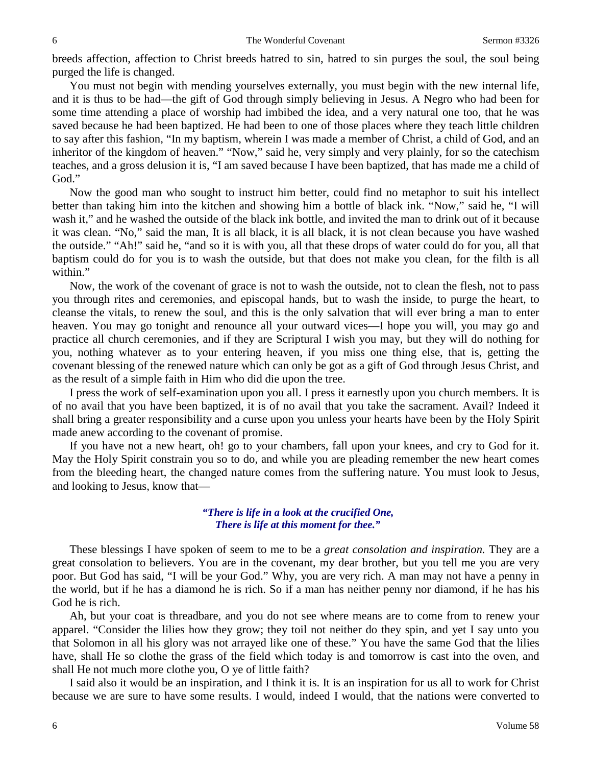breeds affection, affection to Christ breeds hatred to sin, hatred to sin purges the soul, the soul being purged the life is changed.

You must not begin with mending yourselves externally, you must begin with the new internal life, and it is thus to be had—the gift of God through simply believing in Jesus. A Negro who had been for some time attending a place of worship had imbibed the idea, and a very natural one too, that he was saved because he had been baptized. He had been to one of those places where they teach little children to say after this fashion, "In my baptism, wherein I was made a member of Christ, a child of God, and an inheritor of the kingdom of heaven." "Now," said he, very simply and very plainly, for so the catechism teaches, and a gross delusion it is, "I am saved because I have been baptized, that has made me a child of God."

Now the good man who sought to instruct him better, could find no metaphor to suit his intellect better than taking him into the kitchen and showing him a bottle of black ink. "Now," said he, "I will wash it," and he washed the outside of the black ink bottle, and invited the man to drink out of it because it was clean. "No," said the man, It is all black, it is all black, it is not clean because you have washed the outside." "Ah!" said he, "and so it is with you, all that these drops of water could do for you, all that baptism could do for you is to wash the outside, but that does not make you clean, for the filth is all within."

Now, the work of the covenant of grace is not to wash the outside, not to clean the flesh, not to pass you through rites and ceremonies, and episcopal hands, but to wash the inside, to purge the heart, to cleanse the vitals, to renew the soul, and this is the only salvation that will ever bring a man to enter heaven. You may go tonight and renounce all your outward vices—I hope you will, you may go and practice all church ceremonies, and if they are Scriptural I wish you may, but they will do nothing for you, nothing whatever as to your entering heaven, if you miss one thing else, that is, getting the covenant blessing of the renewed nature which can only be got as a gift of God through Jesus Christ, and as the result of a simple faith in Him who did die upon the tree.

I press the work of self-examination upon you all. I press it earnestly upon you church members. It is of no avail that you have been baptized, it is of no avail that you take the sacrament. Avail? Indeed it shall bring a greater responsibility and a curse upon you unless your hearts have been by the Holy Spirit made anew according to the covenant of promise.

If you have not a new heart, oh! go to your chambers, fall upon your knees, and cry to God for it. May the Holy Spirit constrain you so to do, and while you are pleading remember the new heart comes from the bleeding heart, the changed nature comes from the suffering nature. You must look to Jesus, and looking to Jesus, know that—

### *"There is life in a look at the crucified One, There is life at this moment for thee."*

These blessings I have spoken of seem to me to be a *great consolation and inspiration.* They are a great consolation to believers. You are in the covenant, my dear brother, but you tell me you are very poor. But God has said, "I will be your God." Why, you are very rich. A man may not have a penny in the world, but if he has a diamond he is rich. So if a man has neither penny nor diamond, if he has his God he is rich.

Ah, but your coat is threadbare, and you do not see where means are to come from to renew your apparel. "Consider the lilies how they grow; they toil not neither do they spin, and yet I say unto you that Solomon in all his glory was not arrayed like one of these." You have the same God that the lilies have, shall He so clothe the grass of the field which today is and tomorrow is cast into the oven, and shall He not much more clothe you, O ye of little faith?

I said also it would be an inspiration, and I think it is. It is an inspiration for us all to work for Christ because we are sure to have some results. I would, indeed I would, that the nations were converted to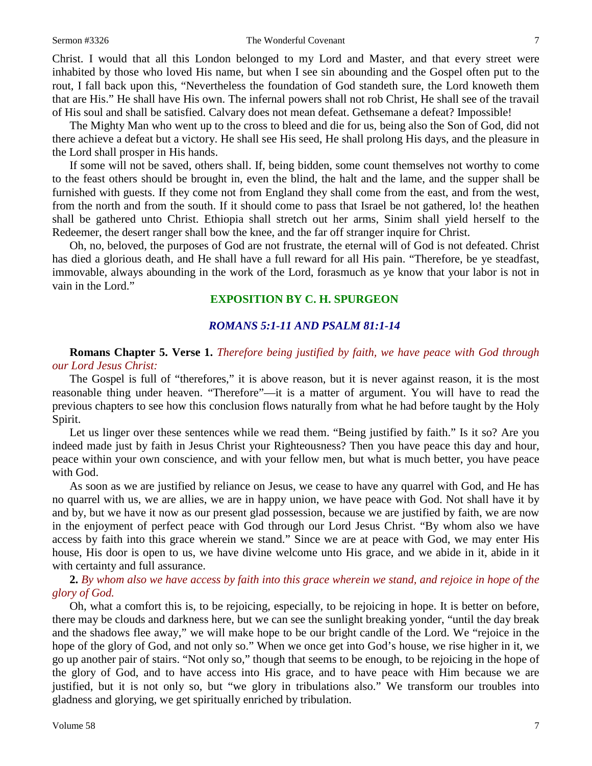### Sermon #3326 The Wonderful Covenant 7

Christ. I would that all this London belonged to my Lord and Master, and that every street were inhabited by those who loved His name, but when I see sin abounding and the Gospel often put to the rout, I fall back upon this, "Nevertheless the foundation of God standeth sure, the Lord knoweth them that are His." He shall have His own. The infernal powers shall not rob Christ, He shall see of the travail of His soul and shall be satisfied. Calvary does not mean defeat. Gethsemane a defeat? Impossible!

The Mighty Man who went up to the cross to bleed and die for us, being also the Son of God, did not there achieve a defeat but a victory. He shall see His seed, He shall prolong His days, and the pleasure in the Lord shall prosper in His hands.

If some will not be saved, others shall. If, being bidden, some count themselves not worthy to come to the feast others should be brought in, even the blind, the halt and the lame, and the supper shall be furnished with guests. If they come not from England they shall come from the east, and from the west, from the north and from the south. If it should come to pass that Israel be not gathered, lo! the heathen shall be gathered unto Christ. Ethiopia shall stretch out her arms, Sinim shall yield herself to the Redeemer, the desert ranger shall bow the knee, and the far off stranger inquire for Christ.

Oh, no, beloved, the purposes of God are not frustrate, the eternal will of God is not defeated. Christ has died a glorious death, and He shall have a full reward for all His pain. "Therefore, be ye steadfast, immovable, always abounding in the work of the Lord, forasmuch as ye know that your labor is not in vain in the Lord."

### **EXPOSITION BY C. H. SPURGEON**

## *ROMANS 5:1-11 AND PSALM 81:1-14*

**Romans Chapter 5. Verse 1.** *Therefore being justified by faith, we have peace with God through our Lord Jesus Christ:*

The Gospel is full of "therefores," it is above reason, but it is never against reason, it is the most reasonable thing under heaven. "Therefore"—it is a matter of argument. You will have to read the previous chapters to see how this conclusion flows naturally from what he had before taught by the Holy Spirit.

Let us linger over these sentences while we read them. "Being justified by faith." Is it so? Are you indeed made just by faith in Jesus Christ your Righteousness? Then you have peace this day and hour, peace within your own conscience, and with your fellow men, but what is much better, you have peace with God.

As soon as we are justified by reliance on Jesus, we cease to have any quarrel with God, and He has no quarrel with us, we are allies, we are in happy union, we have peace with God. Not shall have it by and by, but we have it now as our present glad possession, because we are justified by faith, we are now in the enjoyment of perfect peace with God through our Lord Jesus Christ. "By whom also we have access by faith into this grace wherein we stand." Since we are at peace with God, we may enter His house, His door is open to us, we have divine welcome unto His grace, and we abide in it, abide in it with certainty and full assurance.

**2.** *By whom also we have access by faith into this grace wherein we stand, and rejoice in hope of the glory of God.*

Oh, what a comfort this is, to be rejoicing, especially, to be rejoicing in hope. It is better on before, there may be clouds and darkness here, but we can see the sunlight breaking yonder, "until the day break and the shadows flee away," we will make hope to be our bright candle of the Lord. We "rejoice in the hope of the glory of God, and not only so." When we once get into God's house, we rise higher in it, we go up another pair of stairs. "Not only so," though that seems to be enough, to be rejoicing in the hope of the glory of God, and to have access into His grace, and to have peace with Him because we are justified, but it is not only so, but "we glory in tribulations also." We transform our troubles into gladness and glorying, we get spiritually enriched by tribulation.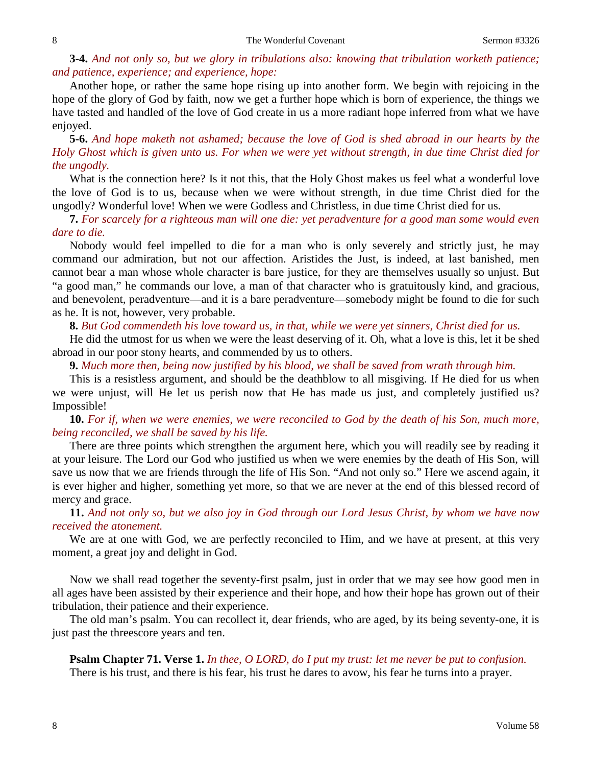### **3-4.** *And not only so, but we glory in tribulations also: knowing that tribulation worketh patience; and patience, experience; and experience, hope:*

Another hope, or rather the same hope rising up into another form. We begin with rejoicing in the hope of the glory of God by faith, now we get a further hope which is born of experience, the things we have tasted and handled of the love of God create in us a more radiant hope inferred from what we have enjoyed.

**5-6.** *And hope maketh not ashamed; because the love of God is shed abroad in our hearts by the Holy Ghost which is given unto us. For when we were yet without strength, in due time Christ died for the ungodly.*

What is the connection here? Is it not this, that the Holy Ghost makes us feel what a wonderful love the love of God is to us, because when we were without strength, in due time Christ died for the ungodly? Wonderful love! When we were Godless and Christless, in due time Christ died for us.

**7.** *For scarcely for a righteous man will one die: yet peradventure for a good man some would even dare to die.*

Nobody would feel impelled to die for a man who is only severely and strictly just, he may command our admiration, but not our affection. Aristides the Just, is indeed, at last banished, men cannot bear a man whose whole character is bare justice, for they are themselves usually so unjust. But "a good man," he commands our love, a man of that character who is gratuitously kind, and gracious, and benevolent, peradventure—and it is a bare peradventure—somebody might be found to die for such as he. It is not, however, very probable.

### **8.** *But God commendeth his love toward us, in that, while we were yet sinners, Christ died for us.*

He did the utmost for us when we were the least deserving of it. Oh, what a love is this, let it be shed abroad in our poor stony hearts, and commended by us to others.

**9.** *Much more then, being now justified by his blood, we shall be saved from wrath through him.*

This is a resistless argument, and should be the deathblow to all misgiving. If He died for us when we were unjust, will He let us perish now that He has made us just, and completely justified us? Impossible!

**10.** *For if, when we were enemies, we were reconciled to God by the death of his Son, much more, being reconciled, we shall be saved by his life.*

There are three points which strengthen the argument here, which you will readily see by reading it at your leisure. The Lord our God who justified us when we were enemies by the death of His Son, will save us now that we are friends through the life of His Son. "And not only so." Here we ascend again, it is ever higher and higher, something yet more, so that we are never at the end of this blessed record of mercy and grace.

**11.** *And not only so, but we also joy in God through our Lord Jesus Christ, by whom we have now received the atonement.*

We are at one with God, we are perfectly reconciled to Him, and we have at present, at this very moment, a great joy and delight in God.

Now we shall read together the seventy-first psalm, just in order that we may see how good men in all ages have been assisted by their experience and their hope, and how their hope has grown out of their tribulation, their patience and their experience.

The old man's psalm. You can recollect it, dear friends, who are aged, by its being seventy-one, it is just past the threescore years and ten.

### **Psalm Chapter 71. Verse 1.** *In thee, O LORD, do I put my trust: let me never be put to confusion.*

There is his trust, and there is his fear, his trust he dares to avow, his fear he turns into a prayer.